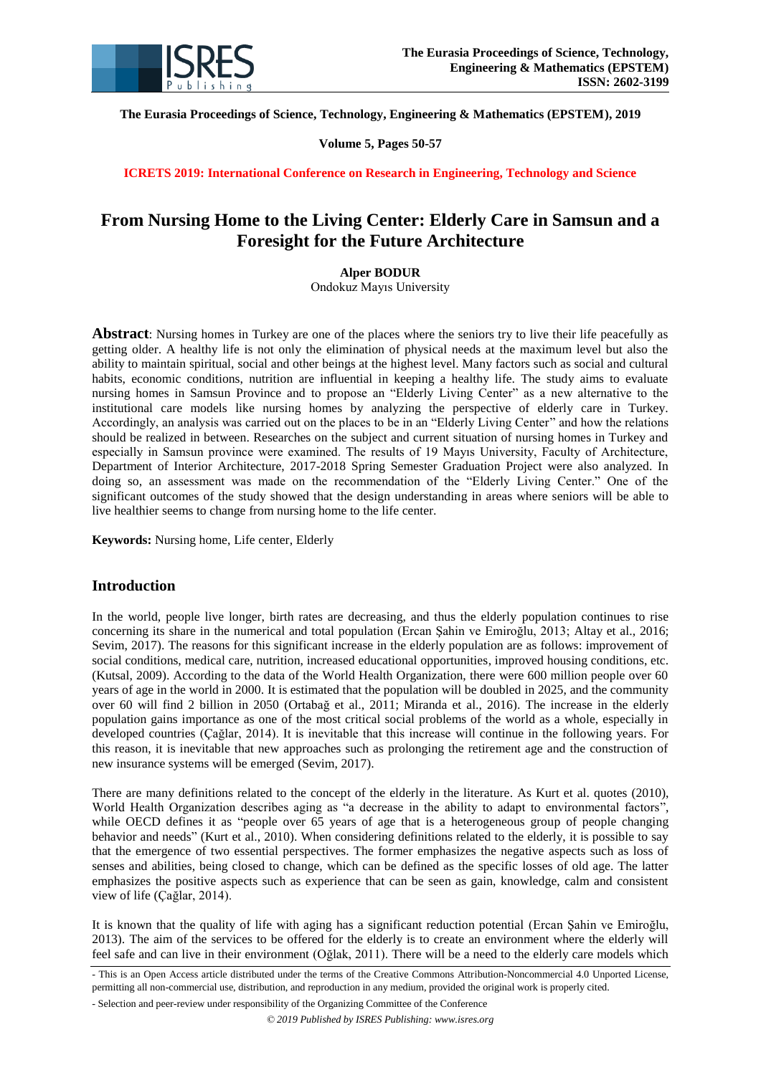

**The Eurasia Proceedings of Science, Technology, Engineering & Mathematics (EPSTEM), 2019**

**Volume 5, Pages 50-57**

**ICRETS 2019: International Conference on Research in Engineering, Technology and Science**

# **From Nursing Home to the Living Center: Elderly Care in Samsun and a Foresight for the Future Architecture**

### **Alper BODUR**

Ondokuz Mayıs University

**Abstract**: Nursing homes in Turkey are one of the places where the seniors try to live their life peacefully as getting older. A healthy life is not only the elimination of physical needs at the maximum level but also the ability to maintain spiritual, social and other beings at the highest level. Many factors such as social and cultural habits, economic conditions, nutrition are influential in keeping a healthy life. The study aims to evaluate nursing homes in Samsun Province and to propose an "Elderly Living Center" as a new alternative to the institutional care models like nursing homes by analyzing the perspective of elderly care in Turkey. Accordingly, an analysis was carried out on the places to be in an "Elderly Living Center" and how the relations should be realized in between. Researches on the subject and current situation of nursing homes in Turkey and especially in Samsun province were examined. The results of 19 Mayıs University, Faculty of Architecture, Department of Interior Architecture, 2017-2018 Spring Semester Graduation Project were also analyzed. In doing so, an assessment was made on the recommendation of the "Elderly Living Center." One of the significant outcomes of the study showed that the design understanding in areas where seniors will be able to live healthier seems to change from nursing home to the life center.

**Keywords:** Nursing home, Life center, Elderly

# **Introduction**

In the world, people live longer, birth rates are decreasing, and thus the elderly population continues to rise concerning its share in the numerical and total population (Ercan Şahin ve Emiroğlu, 2013; Altay et al., 2016; Sevim, 2017). The reasons for this significant increase in the elderly population are as follows: improvement of social conditions, medical care, nutrition, increased educational opportunities, improved housing conditions, etc. (Kutsal, 2009). According to the data of the World Health Organization, there were 600 million people over 60 years of age in the world in 2000. It is estimated that the population will be doubled in 2025, and the community over 60 will find 2 billion in 2050 (Ortabağ et al., 2011; Miranda et al., 2016). The increase in the elderly population gains importance as one of the most critical social problems of the world as a whole, especially in developed countries (Çağlar, 2014). It is inevitable that this increase will continue in the following years. For this reason, it is inevitable that new approaches such as prolonging the retirement age and the construction of new insurance systems will be emerged (Sevim, 2017).

There are many definitions related to the concept of the elderly in the literature. As Kurt et al. quotes (2010), World Health Organization describes aging as "a decrease in the ability to adapt to environmental factors", while OECD defines it as "people over 65 years of age that is a heterogeneous group of people changing behavior and needs" (Kurt et al., 2010). When considering definitions related to the elderly, it is possible to say that the emergence of two essential perspectives. The former emphasizes the negative aspects such as loss of senses and abilities, being closed to change, which can be defined as the specific losses of old age. The latter emphasizes the positive aspects such as experience that can be seen as gain, knowledge, calm and consistent view of life (Çağlar, 2014).

It is known that the quality of life with aging has a significant reduction potential (Ercan Şahin ve Emiroğlu, 2013). The aim of the services to be offered for the elderly is to create an environment where the elderly will feel safe and can live in their environment (Oğlak, 2011). There will be a need to the elderly care models which

<sup>-</sup> This is an Open Access article distributed under the terms of the Creative Commons Attribution-Noncommercial 4.0 Unported License, permitting all non-commercial use, distribution, and reproduction in any medium, provided the original work is properly cited.

<sup>-</sup> Selection and peer-review under responsibility of the Organizing Committee of the Conference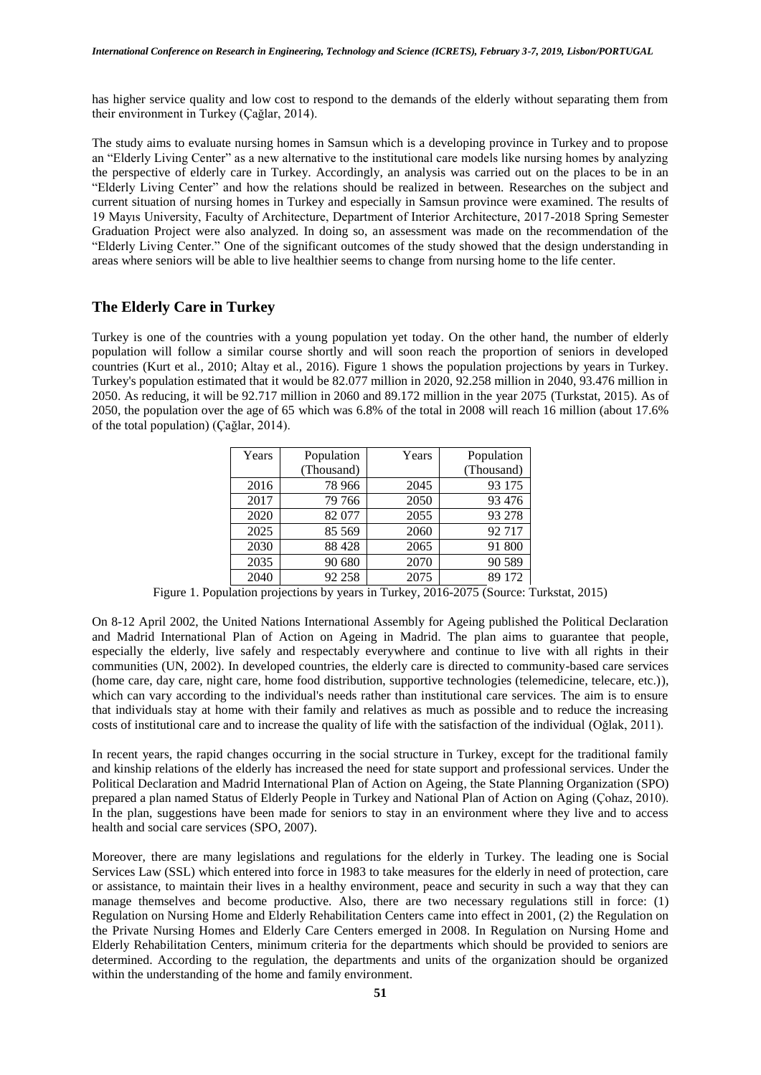has higher service quality and low cost to respond to the demands of the elderly without separating them from their environment in Turkey (Çağlar, 2014).

The study aims to evaluate nursing homes in Samsun which is a developing province in Turkey and to propose an "Elderly Living Center" as a new alternative to the institutional care models like nursing homes by analyzing the perspective of elderly care in Turkey. Accordingly, an analysis was carried out on the places to be in an "Elderly Living Center" and how the relations should be realized in between. Researches on the subject and current situation of nursing homes in Turkey and especially in Samsun province were examined. The results of 19 Mayıs University, Faculty of Architecture, Department of Interior Architecture, 2017-2018 Spring Semester Graduation Project were also analyzed. In doing so, an assessment was made on the recommendation of the "Elderly Living Center." One of the significant outcomes of the study showed that the design understanding in areas where seniors will be able to live healthier seems to change from nursing home to the life center.

### **The Elderly Care in Turkey**

Turkey is one of the countries with a young population yet today. On the other hand, the number of elderly population will follow a similar course shortly and will soon reach the proportion of seniors in developed countries (Kurt et al., 2010; Altay et al., 2016). Figure 1 shows the population projections by years in Turkey. Turkey's population estimated that it would be 82.077 million in 2020, 92.258 million in 2040, 93.476 million in 2050. As reducing, it will be 92.717 million in 2060 and 89.172 million in the year 2075 (Turkstat, 2015). As of 2050, the population over the age of 65 which was 6.8% of the total in 2008 will reach 16 million (about 17.6% of the total population) (Çağlar, 2014).

| Years | Population | Years | Population |
|-------|------------|-------|------------|
|       | (Thousand) |       | (Thousand) |
| 2016  | 78 966     | 2045  | 93 175     |
| 2017  | 79 766     | 2050  | 93 476     |
| 2020  | 82 077     | 2055  | 93 278     |
| 2025  | 85 569     | 2060  | 92717      |
| 2030  | 88 4 28    | 2065  | 91 800     |
| 2035  | 90 680     | 2070  | 90 589     |
| 2040  | 92 258     | 2075  | 89 172     |

Figure 1. Population projections by years in Turkey, 2016-2075 (Source: Turkstat, 2015)

On 8-12 April 2002, the United Nations International Assembly for Ageing published the Political Declaration and Madrid International Plan of Action on Ageing in Madrid. The plan aims to guarantee that people, especially the elderly, live safely and respectably everywhere and continue to live with all rights in their communities (UN, 2002). In developed countries, the elderly care is directed to community-based care services (home care, day care, night care, home food distribution, supportive technologies (telemedicine, telecare, etc.)), which can vary according to the individual's needs rather than institutional care services. The aim is to ensure that individuals stay at home with their family and relatives as much as possible and to reduce the increasing costs of institutional care and to increase the quality of life with the satisfaction of the individual (Oğlak, 2011).

In recent years, the rapid changes occurring in the social structure in Turkey, except for the traditional family and kinship relations of the elderly has increased the need for state support and professional services. Under the Political Declaration and Madrid International Plan of Action on Ageing, the State Planning Organization (SPO) prepared a plan named Status of Elderly People in Turkey and National Plan of Action on Aging (Çohaz, 2010). In the plan, suggestions have been made for seniors to stay in an environment where they live and to access health and social care services (SPO, 2007).

Moreover, there are many legislations and regulations for the elderly in Turkey. The leading one is Social Services Law (SSL) which entered into force in 1983 to take measures for the elderly in need of protection, care or assistance, to maintain their lives in a healthy environment, peace and security in such a way that they can manage themselves and become productive. Also, there are two necessary regulations still in force: (1) Regulation on Nursing Home and Elderly Rehabilitation Centers came into effect in 2001, (2) the Regulation on the Private Nursing Homes and Elderly Care Centers emerged in 2008. In Regulation on Nursing Home and Elderly Rehabilitation Centers, minimum criteria for the departments which should be provided to seniors are determined. According to the regulation, the departments and units of the organization should be organized within the understanding of the home and family environment.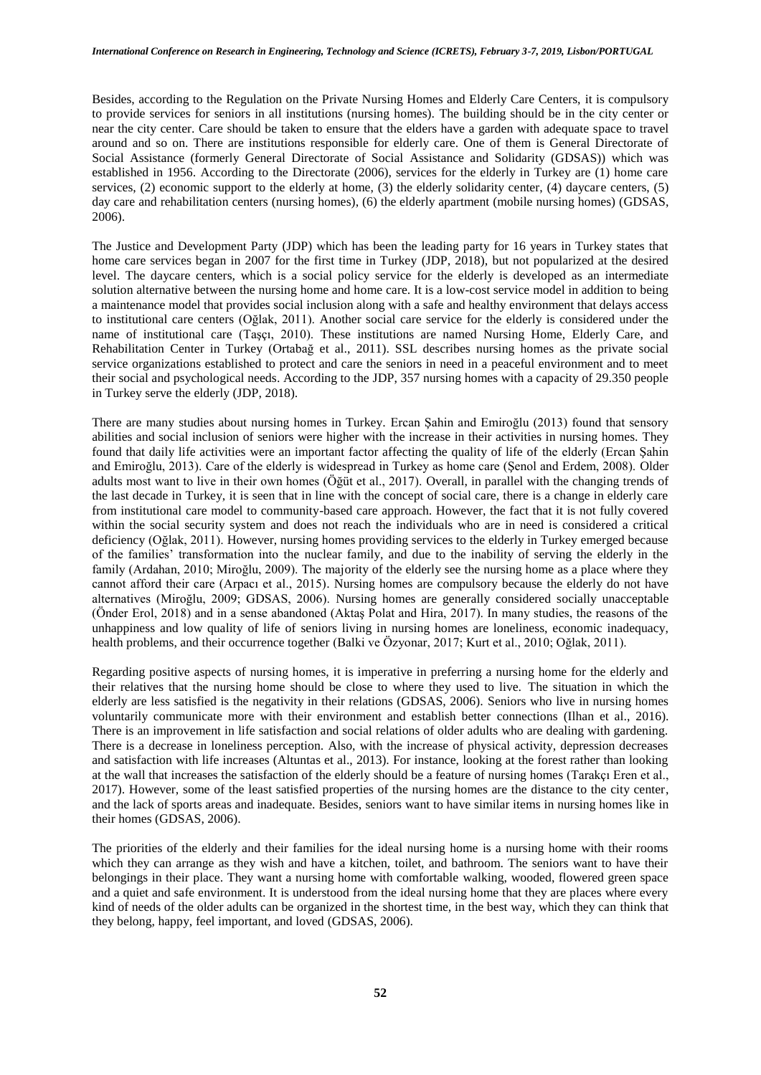Besides, according to the Regulation on the Private Nursing Homes and Elderly Care Centers, it is compulsory to provide services for seniors in all institutions (nursing homes). The building should be in the city center or near the city center. Care should be taken to ensure that the elders have a garden with adequate space to travel around and so on. There are institutions responsible for elderly care. One of them is General Directorate of Social Assistance (formerly General Directorate of Social Assistance and Solidarity (GDSAS)) which was established in 1956. According to the Directorate (2006), services for the elderly in Turkey are (1) home care services, (2) economic support to the elderly at home, (3) the elderly solidarity center, (4) daycare centers, (5) day care and rehabilitation centers (nursing homes), (6) the elderly apartment (mobile nursing homes) (GDSAS, 2006).

The Justice and Development Party (JDP) which has been the leading party for 16 years in Turkey states that home care services began in 2007 for the first time in Turkey (JDP, 2018), but not popularized at the desired level. The daycare centers, which is a social policy service for the elderly is developed as an intermediate solution alternative between the nursing home and home care. It is a low-cost service model in addition to being a maintenance model that provides social inclusion along with a safe and healthy environment that delays access to institutional care centers (Oğlak, 2011). Another social care service for the elderly is considered under the name of institutional care (Taşçı, 2010). These institutions are named Nursing Home, Elderly Care, and Rehabilitation Center in Turkey (Ortabağ et al., 2011). SSL describes nursing homes as the private social service organizations established to protect and care the seniors in need in a peaceful environment and to meet their social and psychological needs. According to the JDP, 357 nursing homes with a capacity of 29.350 people in Turkey serve the elderly (JDP, 2018).

There are many studies about nursing homes in Turkey. Ercan Şahin and Emiroğlu (2013) found that sensory abilities and social inclusion of seniors were higher with the increase in their activities in nursing homes. They found that daily life activities were an important factor affecting the quality of life of the elderly (Ercan Şahin and Emiroğlu, 2013). Care of the elderly is widespread in Turkey as home care (Şenol and Erdem, 2008). Older adults most want to live in their own homes (Öğüt et al., 2017). Overall, in parallel with the changing trends of the last decade in Turkey, it is seen that in line with the concept of social care, there is a change in elderly care from institutional care model to community-based care approach. However, the fact that it is not fully covered within the social security system and does not reach the individuals who are in need is considered a critical deficiency (Oğlak, 2011). However, nursing homes providing services to the elderly in Turkey emerged because of the families' transformation into the nuclear family, and due to the inability of serving the elderly in the family (Ardahan, 2010; Miroğlu, 2009). The majority of the elderly see the nursing home as a place where they cannot afford their care (Arpacı et al., 2015). Nursing homes are compulsory because the elderly do not have alternatives (Miroğlu, 2009; GDSAS, 2006). Nursing homes are generally considered socially unacceptable (Önder Erol, 2018) and in a sense abandoned (Aktaş Polat and Hira, 2017). In many studies, the reasons of the unhappiness and low quality of life of seniors living in nursing homes are loneliness, economic inadequacy, health problems, and their occurrence together (Balki ve Özyonar, 2017; Kurt et al., 2010; Oğlak, 2011).

Regarding positive aspects of nursing homes, it is imperative in preferring a nursing home for the elderly and their relatives that the nursing home should be close to where they used to live. The situation in which the elderly are less satisfied is the negativity in their relations (GDSAS, 2006). Seniors who live in nursing homes voluntarily communicate more with their environment and establish better connections (Ilhan et al., 2016). There is an improvement in life satisfaction and social relations of older adults who are dealing with gardening. There is a decrease in loneliness perception. Also, with the increase of physical activity, depression decreases and satisfaction with life increases (Altuntas et al., 2013). For instance, looking at the forest rather than looking at the wall that increases the satisfaction of the elderly should be a feature of nursing homes (Tarakçı Eren et al., 2017). However, some of the least satisfied properties of the nursing homes are the distance to the city center, and the lack of sports areas and inadequate. Besides, seniors want to have similar items in nursing homes like in their homes (GDSAS, 2006).

The priorities of the elderly and their families for the ideal nursing home is a nursing home with their rooms which they can arrange as they wish and have a kitchen, toilet, and bathroom. The seniors want to have their belongings in their place. They want a nursing home with comfortable walking, wooded, flowered green space and a quiet and safe environment. It is understood from the ideal nursing home that they are places where every kind of needs of the older adults can be organized in the shortest time, in the best way, which they can think that they belong, happy, feel important, and loved (GDSAS, 2006).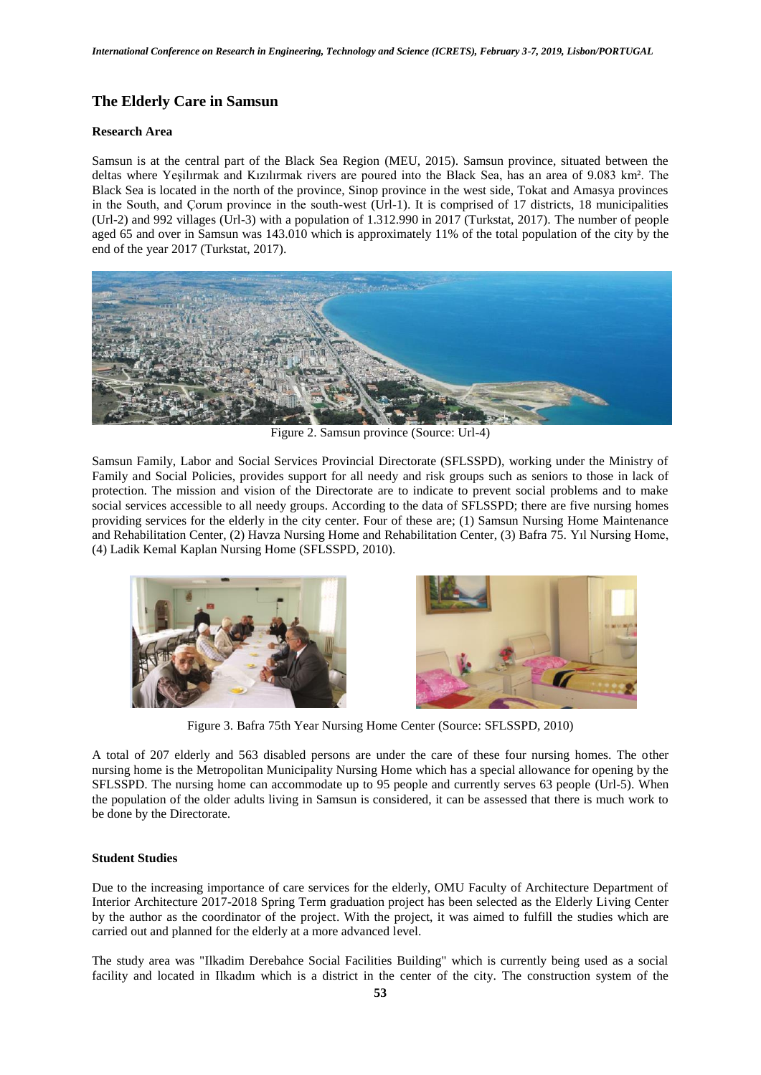# **The Elderly Care in Samsun**

#### **Research Area**

Samsun is at the central part of the Black Sea Region (MEU, 2015). Samsun province, situated between the deltas where Yeşilırmak and Kızılırmak rivers are poured into the Black Sea, has an area of 9.083 km². The Black Sea is located in the north of the province, Sinop province in the west side, Tokat and Amasya provinces in the South, and Çorum province in the south-west (Url-1). It is comprised of 17 districts, 18 municipalities (Url-2) and 992 villages (Url-3) with a population of 1.312.990 in 2017 (Turkstat, 2017). The number of people aged 65 and over in Samsun was 143.010 which is approximately 11% of the total population of the city by the end of the year 2017 (Turkstat, 2017).



Figure 2. Samsun province (Source: Url-4)

Samsun Family, Labor and Social Services Provincial Directorate (SFLSSPD), working under the Ministry of Family and Social Policies, provides support for all needy and risk groups such as seniors to those in lack of protection. The mission and vision of the Directorate are to indicate to prevent social problems and to make social services accessible to all needy groups. According to the data of SFLSSPD; there are five nursing homes providing services for the elderly in the city center. Four of these are; (1) Samsun Nursing Home Maintenance and Rehabilitation Center, (2) Havza Nursing Home and Rehabilitation Center, (3) Bafra 75. Yıl Nursing Home, (4) Ladik Kemal Kaplan Nursing Home (SFLSSPD, 2010).



Figure 3. Bafra 75th Year Nursing Home Center (Source: SFLSSPD, 2010)

A total of 207 elderly and 563 disabled persons are under the care of these four nursing homes. The other nursing home is the Metropolitan Municipality Nursing Home which has a special allowance for opening by the SFLSSPD. The nursing home can accommodate up to 95 people and currently serves 63 people (Url-5). When the population of the older adults living in Samsun is considered, it can be assessed that there is much work to be done by the Directorate.

#### **Student Studies**

Due to the increasing importance of care services for the elderly, OMU Faculty of Architecture Department of Interior Architecture 2017-2018 Spring Term graduation project has been selected as the Elderly Living Center by the author as the coordinator of the project. With the project, it was aimed to fulfill the studies which are carried out and planned for the elderly at a more advanced level.

The study area was "Ilkadim Derebahce Social Facilities Building" which is currently being used as a social facility and located in Ilkadım which is a district in the center of the city. The construction system of the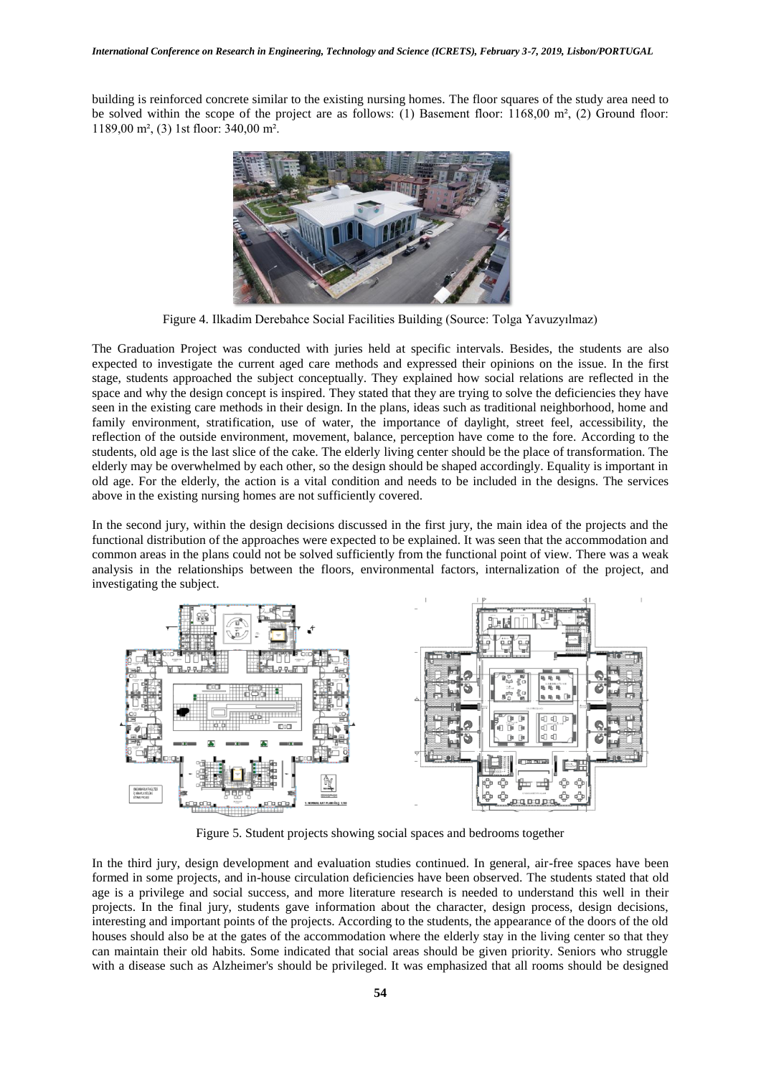building is reinforced concrete similar to the existing nursing homes. The floor squares of the study area need to be solved within the scope of the project are as follows: (1) Basement floor: 1168,00 m², (2) Ground floor: 1189,00 m², (3) 1st floor: 340,00 m².



Figure 4. Ilkadim Derebahce Social Facilities Building (Source: Tolga Yavuzyılmaz)

The Graduation Project was conducted with juries held at specific intervals. Besides, the students are also expected to investigate the current aged care methods and expressed their opinions on the issue. In the first stage, students approached the subject conceptually. They explained how social relations are reflected in the space and why the design concept is inspired. They stated that they are trying to solve the deficiencies they have seen in the existing care methods in their design. In the plans, ideas such as traditional neighborhood, home and family environment, stratification, use of water, the importance of daylight, street feel, accessibility, the reflection of the outside environment, movement, balance, perception have come to the fore. According to the students, old age is the last slice of the cake. The elderly living center should be the place of transformation. The elderly may be overwhelmed by each other, so the design should be shaped accordingly. Equality is important in old age. For the elderly, the action is a vital condition and needs to be included in the designs. The services above in the existing nursing homes are not sufficiently covered.

In the second jury, within the design decisions discussed in the first jury, the main idea of the projects and the functional distribution of the approaches were expected to be explained. It was seen that the accommodation and common areas in the plans could not be solved sufficiently from the functional point of view. There was a weak analysis in the relationships between the floors, environmental factors, internalization of the project, and investigating the subject.



Figure 5. Student projects showing social spaces and bedrooms together

In the third jury, design development and evaluation studies continued. In general, air-free spaces have been formed in some projects, and in-house circulation deficiencies have been observed. The students stated that old age is a privilege and social success, and more literature research is needed to understand this well in their projects. In the final jury, students gave information about the character, design process, design decisions, interesting and important points of the projects. According to the students, the appearance of the doors of the old houses should also be at the gates of the accommodation where the elderly stay in the living center so that they can maintain their old habits. Some indicated that social areas should be given priority. Seniors who struggle with a disease such as Alzheimer's should be privileged. It was emphasized that all rooms should be designed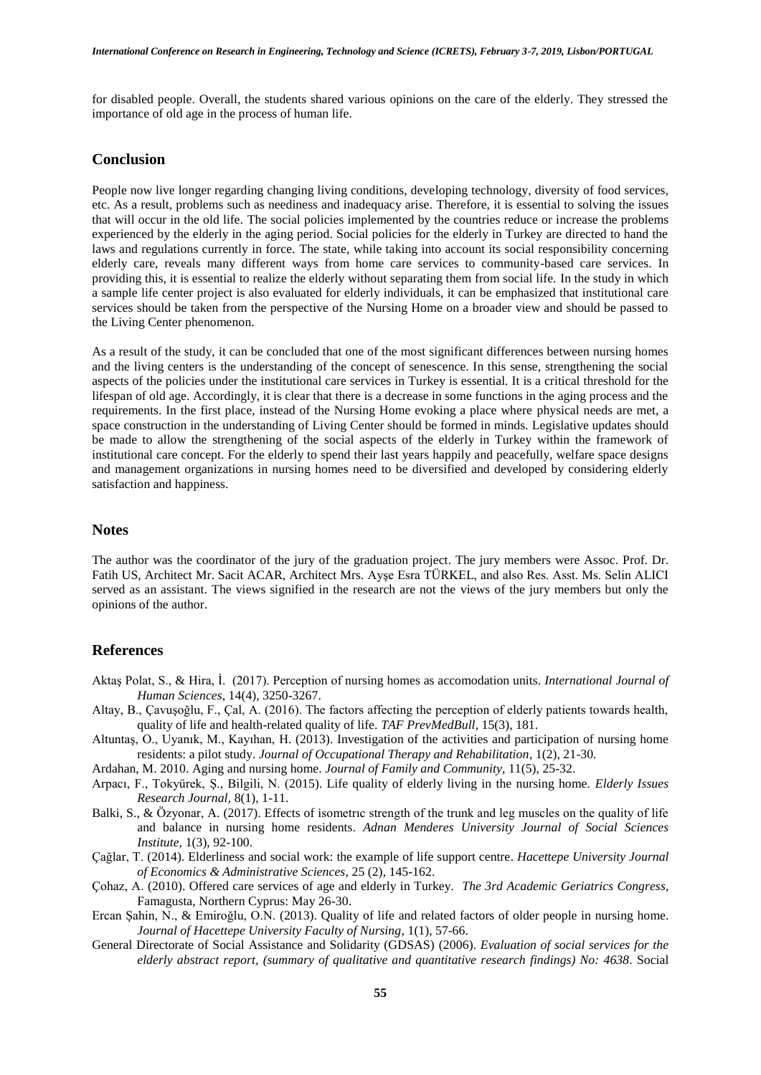for disabled people. Overall, the students shared various opinions on the care of the elderly. They stressed the importance of old age in the process of human life.

### **Conclusion**

People now live longer regarding changing living conditions, developing technology, diversity of food services, etc. As a result, problems such as neediness and inadequacy arise. Therefore, it is essential to solving the issues that will occur in the old life. The social policies implemented by the countries reduce or increase the problems experienced by the elderly in the aging period. Social policies for the elderly in Turkey are directed to hand the laws and regulations currently in force. The state, while taking into account its social responsibility concerning elderly care, reveals many different ways from home care services to community-based care services. In providing this, it is essential to realize the elderly without separating them from social life. In the study in which a sample life center project is also evaluated for elderly individuals, it can be emphasized that institutional care services should be taken from the perspective of the Nursing Home on a broader view and should be passed to the Living Center phenomenon.

As a result of the study, it can be concluded that one of the most significant differences between nursing homes and the living centers is the understanding of the concept of senescence. In this sense, strengthening the social aspects of the policies under the institutional care services in Turkey is essential. It is a critical threshold for the lifespan of old age. Accordingly, it is clear that there is a decrease in some functions in the aging process and the requirements. In the first place, instead of the Nursing Home evoking a place where physical needs are met, a space construction in the understanding of Living Center should be formed in minds. Legislative updates should be made to allow the strengthening of the social aspects of the elderly in Turkey within the framework of institutional care concept. For the elderly to spend their last years happily and peacefully, welfare space designs and management organizations in nursing homes need to be diversified and developed by considering elderly satisfaction and happiness.

#### **Notes**

The author was the coordinator of the jury of the graduation project. The jury members were Assoc. Prof. Dr. Fatih US, Architect Mr. Sacit ACAR, Architect Mrs. Ayşe Esra TÜRKEL, and also Res. Asst. Ms. Selin ALICI served as an assistant. The views signified in the research are not the views of the jury members but only the opinions of the author.

#### **References**

- Aktaş Polat, S., & Hira, İ. (2017). Perception of nursing homes as accomodation units. *International Journal of Human Sciences*, 14(4), 3250-3267.
- Altay, B., Çavuşoğlu, F., Çal, A. (2016). The factors affecting the perception of elderly patients towards health, quality of life and health-related quality of life. *TAF PrevMedBull*, 15(3), 181.
- Altuntaş, O., Uyanık, M., Kayıhan, H. (2013). Investigation of the activities and participation of nursing home residents: a pilot study. *Journal of Occupational Therapy and Rehabilitation*, 1(2), 21-30.
- Ardahan, M. 2010. Aging and nursing home. *Journal of Family and Community*, 11(5), 25-32.
- Arpacı, F., Tokyürek, Ş., Bilgili, N. (2015). Life quality of elderly living in the nursing home. *Elderly Issues Research Journal*, 8(1), 1-11.
- Balki, S., & Özyonar, A. (2017). Effects of isometrıc strength of the trunk and leg muscles on the quality of life and balance in nursing home residents. *Adnan Menderes University Journal of Social Sciences Institute,* 1(3), 92-100.
- Çağlar, T. (2014). Elderliness and social work: the example of life support centre. *Hacettepe University Journal of Economics & Administrative Sciences*, 25 (2), 145-162.
- Çohaz, A. (2010). Offered care services of age and elderly in Turkey. *The 3rd Academic Geriatrics Congress*, Famagusta, Northern Cyprus: May 26-30.
- Ercan Şahin, N., & Emiroğlu, O.N. (2013). Quality of life and related factors of older people in nursing home. *Journal of Hacettepe University Faculty of Nursing*, 1(1), 57-66.
- General Directorate of Social Assistance and Solidarity (GDSAS) (2006). *Evaluation of social services for the elderly abstract report, (summary of qualitative and quantitative research findings) No: 4638*. Social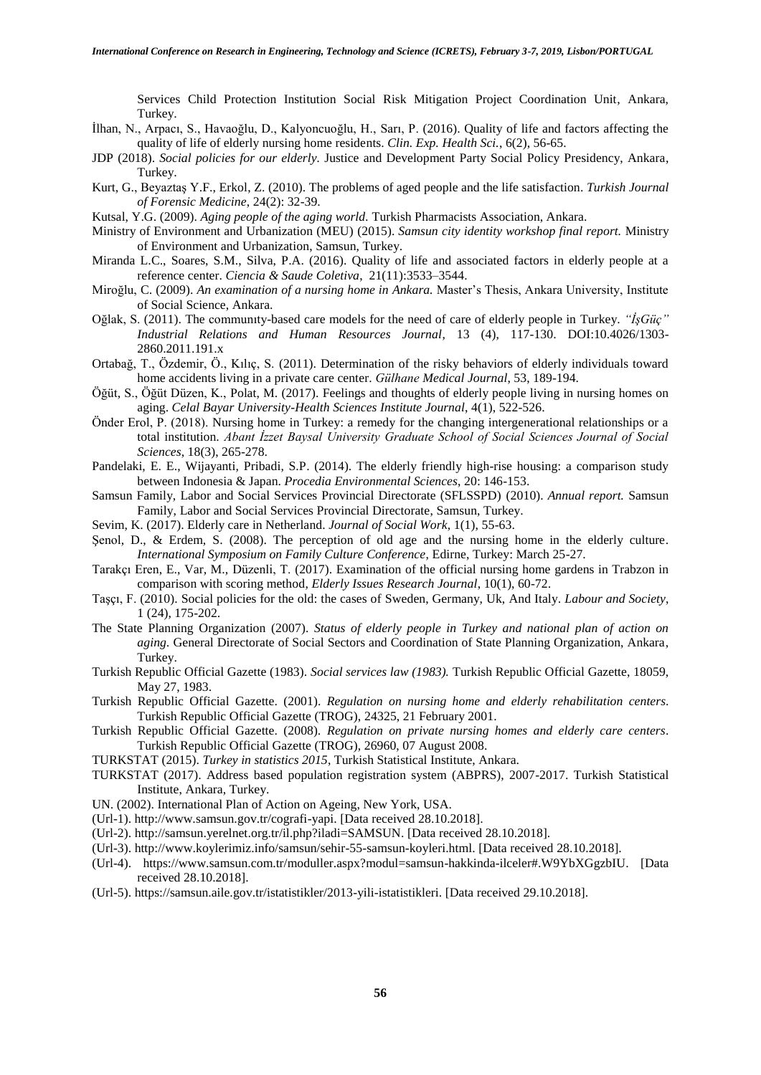Services Child Protection Institution Social Risk Mitigation Project Coordination Unit, Ankara, Turkey.

- İlhan, N., Arpacı, S., Havaoğlu, D., Kalyoncuoğlu, H., Sarı, P. (2016). Quality of life and factors affecting the quality of life of elderly nursing home residents. *Clin. Exp. Health Sci.*, 6(2), 56-65.
- JDP (2018). *Social policies for our elderly.* Justice and Development Party Social Policy Presidency, Ankara, Turkey.
- Kurt, G., Beyaztaş Y.F., Erkol, Z. (2010). The problems of aged people and the life satisfaction. *Turkish Journal of Forensic Medicine*, 24(2): 32-39.
- Kutsal, Y.G. (2009). *Aging people of the aging world.* Turkish Pharmacists Association, Ankara.
- Ministry of Environment and Urbanization (MEU) (2015). *Samsun city identity workshop final report.* Ministry of Environment and Urbanization, Samsun, Turkey.
- Miranda L.C., Soares, S.M., Silva, P.A. (2016). Quality of life and associated factors in elderly people at a reference center. *Ciencia & Saude Coletiva*, 21(11):3533–3544.
- Miroğlu, C. (2009). *An examination of a nursing home in Ankara.* Master's Thesis, Ankara University, Institute of Social Science, Ankara.
- Oğlak, S. (2011). The communıty-based care models for the need of care of elderly people in Turkey. *"İşGüç" Industrial Relations and Human Resources Journal*, 13 (4), 117-130. DOI:10.4026/1303- 2860.2011.191.x
- Ortabağ, T., Özdemir, Ö., Kılıç, S. (2011). Determination of the risky behaviors of elderly individuals toward home accidents living in a private care center. *Gülhane Medical Journal*, 53, 189-194.
- Öğüt, S., Öğüt Düzen, K., Polat, M. (2017). Feelings and thoughts of elderly people living in nursing homes on aging. *Celal Bayar University-Health Sciences Institute Journal*, 4(1), 522-526.
- Önder Erol, P. (2018). Nursing home in Turkey: a remedy for the changing intergenerational relationships or a total institution. *Abant İzzet Baysal University Graduate School of Social Sciences Journal of Social Sciences*, 18(3), 265-278.
- Pandelaki, E. E., Wijayanti, Pribadi, S.P. (2014). The elderly friendly high-rise housing: a comparison study between Indonesia & Japan. *Procedia Environmental Sciences*, 20: 146-153.
- Samsun Family, Labor and Social Services Provincial Directorate (SFLSSPD) (2010). *Annual report.* Samsun Family, Labor and Social Services Provincial Directorate, Samsun, Turkey.
- Sevim, K. (2017). Elderly care in Netherland. *Journal of Social Work*, 1(1), 55-63.
- Şenol, D., & Erdem, S. (2008). The perception of old age and the nursing home in the elderly culture. *International Symposium on Family Culture Conference*, Edirne, Turkey: March 25-27.
- Tarakçı Eren, E., Var, M., Düzenli, T. (2017). Examination of the official nursing home gardens in Trabzon in comparison with scoring method, *Elderly Issues Research Journal*, 10(1), 60-72.
- Taşçı, F. (2010). Social policies for the old: the cases of Sweden, Germany, Uk, And Italy. *Labour and Society*, 1 (24), 175-202.
- The State Planning Organization (2007). *Status of elderly people in Turkey and national plan of action on aging.* General Directorate of Social Sectors and Coordination of State Planning Organization, Ankara, Turkey.
- Turkish Republic Official Gazette (1983). *Social services law (1983).* Turkish Republic Official Gazette, 18059, May 27, 1983.
- Turkish Republic Official Gazette. (2001). *Regulation on nursing home and elderly rehabilitation centers*. Turkish Republic Official Gazette (TROG), 24325, 21 February 2001.
- Turkish Republic Official Gazette. (2008). *Regulation on private nursing homes and elderly care centers*. Turkish Republic Official Gazette (TROG), 26960, 07 August 2008.
- TURKSTAT (2015). *Turkey in statistics 2015*, Turkish Statistical Institute, Ankara.
- TURKSTAT (2017). Address based population registration system (ABPRS), 2007-2017. Turkish Statistical Institute, Ankara, Turkey.
- UN. (2002). International Plan of Action on Ageing, New York, USA.
- (Url-1). http://www.samsun.gov.tr/cografi-yapi. [Data received 28.10.2018].
- (Url-2). [http://samsun.yerelnet.org.tr/il.php?iladi=SAMSUN.](http://samsun.yerelnet.org.tr/il.php?iladi=SAMSUN) [Data received 28.10.2018].
- (Url-3). [http://www.koylerimiz.info/samsun/sehir-55-samsun-koyleri.html.](http://www.koylerimiz.info/samsun/sehir-55-samsun-koyleri.html) [Data received 28.10.2018].
- (Url-4). [https://www.samsun.com.tr/moduller.aspx?modul=samsun-hakkinda-ilceler#.W9YbXGgzbIU.](https://www.samsun.com.tr/moduller.aspx?modul=samsun-hakkinda-ilceler#.W9YbXGgzbIU) [Data received 28.10.2018].
- (Url-5). [https://samsun.aile.gov.tr/istatistikler/2013-yili-istatistikleri.](https://samsun.aile.gov.tr/istatistikler/2013-yili-istatistikleri%2029.10.2018) [Data received 29.10.2018].